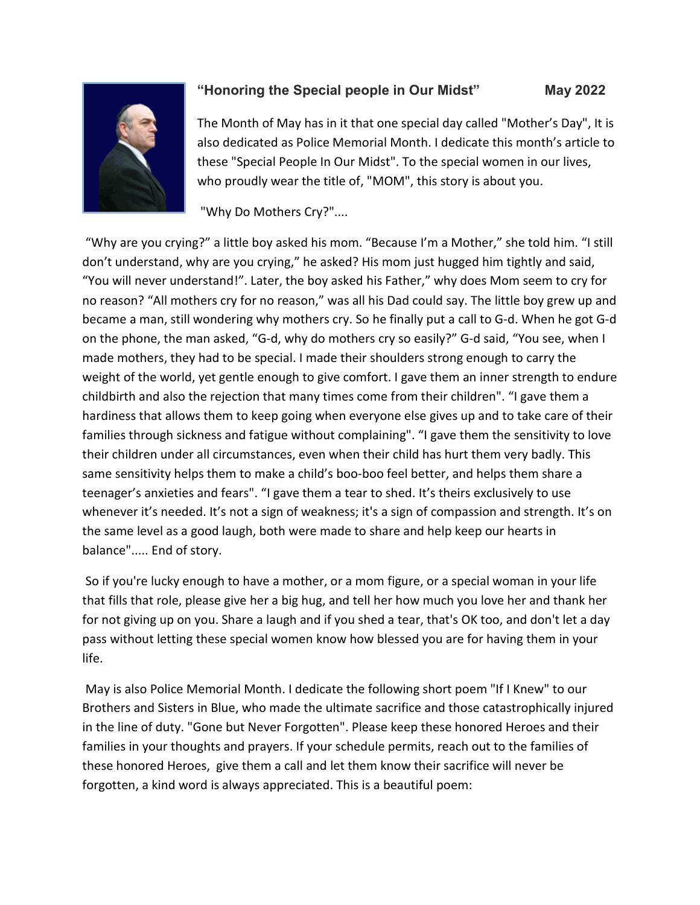

## **"Honoring the Special people in Our Midst" May 2022**

The Month of May has in it that one special day called "Mother's Day", It is also dedicated as Police Memorial Month. I dedicate this month's article to these "Special People In Our Midst". To the special women in our lives, who proudly wear the title of, "MOM", this story is about you.

"Why Do Mothers Cry?"....

"Why are you crying?" a little boy asked his mom. "Because I'm a Mother," she told him. "I still don't understand, why are you crying," he asked? His mom just hugged him tightly and said, "You will never understand!". Later, the boy asked his Father," why does Mom seem to cry for no reason? "All mothers cry for no reason," was all his Dad could say. The little boy grew up and became a man, still wondering why mothers cry. So he finally put a call to G-d. When he got G-d on the phone, the man asked, "G-d, why do mothers cry so easily?" G-d said, "You see, when I made mothers, they had to be special. I made their shoulders strong enough to carry the weight of the world, yet gentle enough to give comfort. I gave them an inner strength to endure childbirth and also the rejection that many times come from their children". "I gave them a hardiness that allows them to keep going when everyone else gives up and to take care of their families through sickness and fatigue without complaining". "I gave them the sensitivity to love their children under all circumstances, even when their child has hurt them very badly. This same sensitivity helps them to make a child's boo-boo feel better, and helps them share a teenager's anxieties and fears". "I gave them a tear to shed. It's theirs exclusively to use whenever it's needed. It's not a sign of weakness; it's a sign of compassion and strength. It's on the same level as a good laugh, both were made to share and help keep our hearts in balance"..... End of story.

So if you're lucky enough to have a mother, or a mom figure, or a special woman in your life that fills that role, please give her a big hug, and tell her how much you love her and thank her for not giving up on you. Share a laugh and if you shed a tear, that's OK too, and don't let a day pass without letting these special women know how blessed you are for having them in your life.

May is also Police Memorial Month. I dedicate the following short poem "If I Knew" to our Brothers and Sisters in Blue, who made the ultimate sacrifice and those catastrophically injured in the line of duty. "Gone but Never Forgotten". Please keep these honored Heroes and their families in your thoughts and prayers. If your schedule permits, reach out to the families of these honored Heroes, give them a call and let them know their sacrifice will never be forgotten, a kind word is always appreciated. This is a beautiful poem: